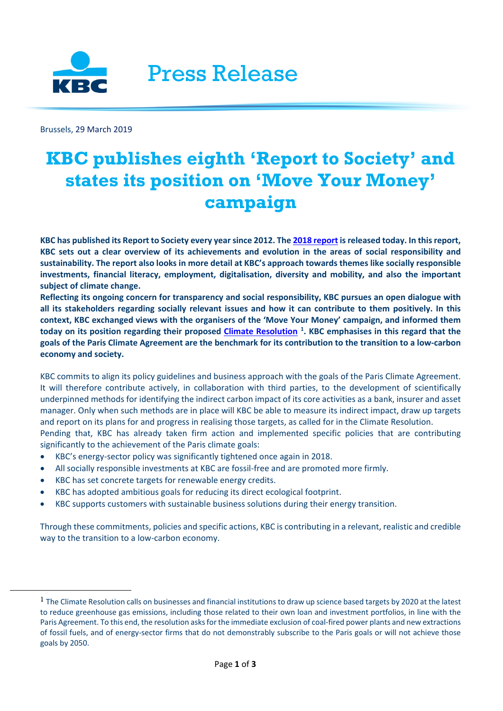

Brussels, 29 March 2019

<span id="page-0-0"></span> $\overline{a}$ 

# **KBC publishes eighth 'Report to Society' and states its position on 'Move Your Money' campaign**

**KBC has published its Report to Society every year since 2012. The [2018 report](https://www.kbc.com/en/system/files/doc/sustainability-reponsability/PerfRep/2018/CSR_VAS_2018_en.pdf) is released today. In this report, KBC sets out a clear overview of its achievements and evolution in the areas of social responsibility and sustainability. The report also looks in more detail at KBC's approach towards themes like socially responsible investments, financial literacy, employment, digitalisation, diversity and mobility, and also the important subject of climate change.** 

**Reflecting its ongoing concern for transparency and social responsibility, KBC pursues an open dialogue with all its stakeholders regarding socially relevant issues and how it can contribute to them positively. In this context, KBC exchanged views with the organisers of the 'Move Your Money' campaign, and informed them today on its position regarding their proposed [Climate Resolution](http://moveyourmoney.be/wp-content/uploads/2018/10/Climate-Resolution-2018.pdf) [1](#page-0-0) . KBC emphasises in this regard that the goals of the Paris Climate Agreement are the benchmark for its contribution to the transition to a low-carbon economy and society.**

KBC commits to align its policy guidelines and business approach with the goals of the Paris Climate Agreement. It will therefore contribute actively, in collaboration with third parties, to the development of scientifically underpinned methods for identifying the indirect carbon impact of its core activities as a bank, insurer and asset manager. Only when such methods are in place will KBC be able to measure its indirect impact, draw up targets and report on its plans for and progress in realising those targets, as called for in the Climate Resolution. Pending that, KBC has already taken firm action and implemented specific policies that are contributing significantly to the achievement of the Paris climate goals:

- KBC's energy-sector policy was significantly tightened once again in 2018.
- All socially responsible investments at KBC are fossil-free and are promoted more firmly.
- KBC has set concrete targets for renewable energy credits.
- KBC has adopted ambitious goals for reducing its direct ecological footprint.
- KBC supports customers with sustainable business solutions during their energy transition.

Through these commitments, policies and specific actions, KBC is contributing in a relevant, realistic and credible way to the transition to a low-carbon economy.

 $<sup>1</sup>$  The Climate Resolution calls on businesses and financial institutions to draw up science based targets by 2020 at the latest</sup> to reduce greenhouse gas emissions, including those related to their own loan and investment portfolios, in line with the Paris Agreement. To this end, the resolution asks for the immediate exclusion of coal-fired power plants and new extractions of fossil fuels, and of energy-sector firms that do not demonstrably subscribe to the Paris goals or will not achieve those goals by 2050.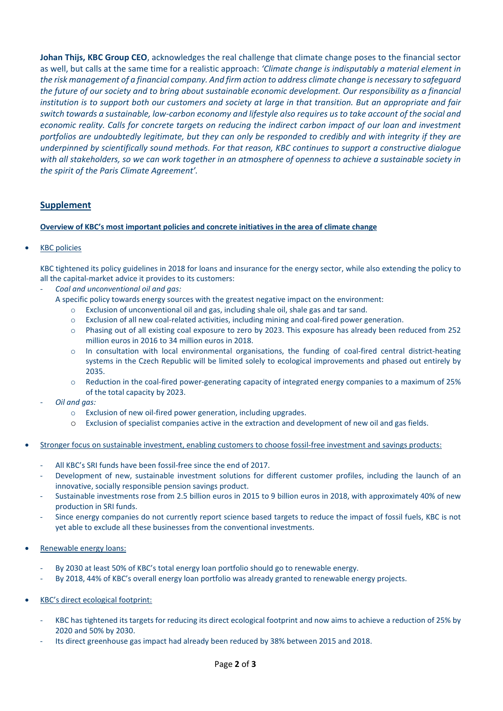**Johan Thijs, KBC Group CEO**, acknowledges the real challenge that climate change poses to the financial sector as well, but calls at the same time for a realistic approach: *'Climate change is indisputably a material element in the risk management of a financial company. And firm action to address climate change is necessary to safeguard the future of our society and to bring about sustainable economic development. Our responsibility as a financial institution is to support both our customers and society at large in that transition. But an appropriate and fair switch towards a sustainable, low-carbon economy and lifestyle also requires us to take account of the social and economic reality. Calls for concrete targets on reducing the indirect carbon impact of our loan and investment portfolios are undoubtedly legitimate, but they can only be responded to credibly and with integrity if they are underpinned by scientifically sound methods. For that reason, KBC continues to support a constructive dialogue with all stakeholders, so we can work together in an atmosphere of openness to achieve a sustainable society in the spirit of the Paris Climate Agreement'.*

## **Supplement**

### **Overview of KBC's most important policies and concrete initiatives in the area of climate change**

## • KBC policies

KBC tightened its policy guidelines in 2018 for loans and insurance for the energy sector, while also extending the policy to all the capital-market advice it provides to its customers:

- *Coal and unconventional oil and gas:* 
	- A specific policy towards energy sources with the greatest negative impact on the environment:
		- $\circ$  Exclusion of unconventional oil and gas, including shale oil, shale gas and tar sand.
		- o Exclusion of all new coal-related activities, including mining and coal-fired power generation.
		- o Phasing out of all existing coal exposure to zero by 2023. This exposure has already been reduced from 252 million euros in 2016 to 34 million euros in 2018.
		- o In consultation with local environmental organisations, the funding of coal-fired central district-heating systems in the Czech Republic will be limited solely to ecological improvements and phased out entirely by 2035.
		- o Reduction in the coal-fired power-generating capacity of integrated energy companies to a maximum of 25% of the total capacity by 2023.
- *Oil and gas:*
	- o Exclusion of new oil-fired power generation, including upgrades.
	- o Exclusion of specialist companies active in the extraction and development of new oil and gas fields.
- Stronger focus on sustainable investment, enabling customers to choose fossil-free investment and savings products:
	- All KBC's SRI funds have been fossil-free since the end of 2017.
	- Development of new, sustainable investment solutions for different customer profiles, including the launch of an innovative, socially responsible pension savings product.
	- Sustainable investments rose from 2.5 billion euros in 2015 to 9 billion euros in 2018, with approximately 40% of new production in SRI funds.
	- Since energy companies do not currently report science based targets to reduce the impact of fossil fuels, KBC is not yet able to exclude all these businesses from the conventional investments.
- Renewable energy loans:
	- By 2030 at least 50% of KBC's total energy loan portfolio should go to renewable energy.
	- By 2018, 44% of KBC's overall energy loan portfolio was already granted to renewable energy projects.
- KBC's direct ecological footprint:
	- KBC has tightened its targets for reducing its direct ecological footprint and now aims to achieve a reduction of 25% by 2020 and 50% by 2030.
	- Its direct greenhouse gas impact had already been reduced by 38% between 2015 and 2018.